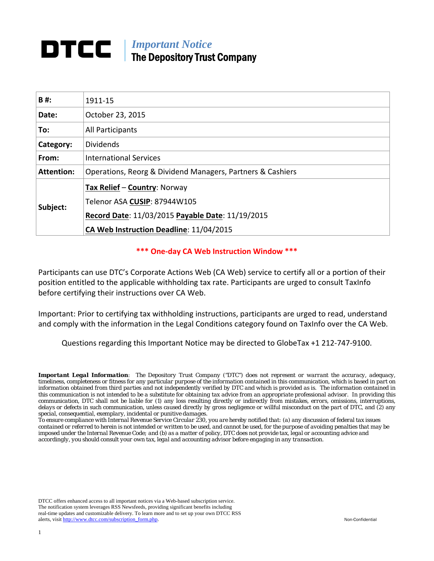# *Important Notice*  The Depository Trust Company

| B#:               | 1911-15                                                                                                                                                     |
|-------------------|-------------------------------------------------------------------------------------------------------------------------------------------------------------|
| Date:             | October 23, 2015                                                                                                                                            |
| To:               | All Participants                                                                                                                                            |
| Category:         | <b>Dividends</b>                                                                                                                                            |
| From:             | <b>International Services</b>                                                                                                                               |
| <b>Attention:</b> | Operations, Reorg & Dividend Managers, Partners & Cashiers                                                                                                  |
| Subject:          | Tax Relief - Country: Norway<br>Telenor ASA CUSIP: 87944W105<br>Record Date: 11/03/2015 Payable Date: 11/19/2015<br>CA Web Instruction Deadline: 11/04/2015 |

### **\*\*\* One‐day CA Web Instruction Window \*\*\***

Participants can use DTC's Corporate Actions Web (CA Web) service to certify all or a portion of their position entitled to the applicable withholding tax rate. Participants are urged to consult TaxInfo before certifying their instructions over CA Web.

Important: Prior to certifying tax withholding instructions, participants are urged to read, understand and comply with the information in the Legal Conditions category found on TaxInfo over the CA Web.

Questions regarding this Important Notice may be directed to GlobeTax +1 212‐747‐9100.

*Important Legal Information: The Depository Trust Company ("DTC") does not represent or warrant the accuracy, adequacy, timeliness, completeness or fitness for any particular purpose of the information contained in this communication, which is based in part on information obtained from third parties and not independently verified by DTC and which is provided as is. The information contained in this communication is not intended to be a substitute for obtaining tax advice from an appropriate professional advisor. In providing this communication, DTC shall not be liable for (1) any loss resulting directly or indirectly from mistakes, errors, omissions, interruptions, delays or defects in such communication, unless caused directly by gross negligence or willful misconduct on the part of DTC, and (2) any special, consequential, exemplary, incidental or punitive damages.* 

*To ensure compliance with Internal Revenue Service Circular 230, you are hereby notified that: (a) any discussion of federal tax issues contained or referred to herein is not intended or written to be used, and cannot be used, for the purpose of avoiding penalties that may be imposed under the Internal Revenue Code; and (b) as a matter of policy, DTC does not provide tax, legal or accounting advice and accordingly, you should consult your own tax, legal and accounting advisor before engaging in any transaction.* 

DTCC offers enhanced access to all important notices via a Web-based subscription service. The notification system leverages RSS Newsfeeds, providing significant benefits including real-time updates and customizable delivery. To learn more and to set up your own DTCC RSS alerts, visit http://www.dtcc.com/subscription\_form.php. Non-Confidential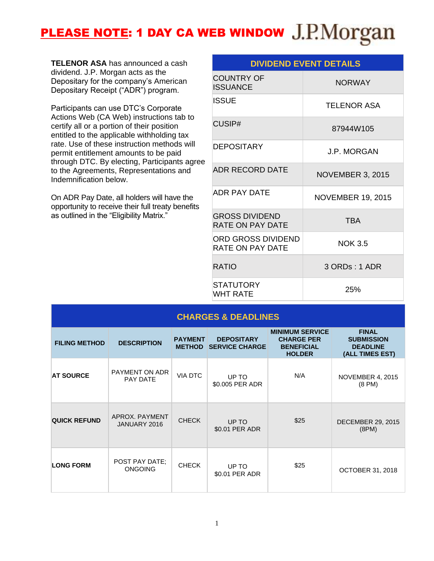# PLEASE NOTE: 1 DAY CA WEB WINDOW J.P.Morgan

**TELENOR ASA** has announced a cash dividend. J.P. Morgan acts as the Depositary for the company's American Depositary Receipt ("ADR") program.

Participants can use DTC's Corporate Actions Web (CA Web) instructions tab to certify all or a portion of their position entitled to the applicable withholding tax rate. Use of these instruction methods will permit entitlement amounts to be paid through DTC. By electing, Participants agree to the Agreements, Representations and Indemnification below.

On ADR Pay Date, all holders will have the opportunity to receive their full treaty benefits as outlined in the "Eligibility Matrix."

| <b>DIVIDEND EVENT DETAILS</b>             |                          |  |  |
|-------------------------------------------|--------------------------|--|--|
| <b>COUNTRY OF</b><br><b>ISSUANCE</b>      | <b>NORWAY</b>            |  |  |
| <b>ISSUE</b>                              | <b>TELENOR ASA</b>       |  |  |
| CUSIP#                                    | 87944W105                |  |  |
| DEPOSITARY                                | <b>J.P. MORGAN</b>       |  |  |
| <b>ADR RECORD DATE</b>                    | <b>NOVEMBER 3, 2015</b>  |  |  |
| ADR PAY DATE                              | <b>NOVEMBER 19, 2015</b> |  |  |
| <b>GROSS DIVIDEND</b><br>RATE ON PAY DATE | <b>TBA</b>               |  |  |
| ORD GROSS DIVIDEND<br>RATE ON PAY DATE    | <b>NOK 3.5</b>           |  |  |
| <b>RATIO</b>                              | 3 ORDs: 1 ADR            |  |  |
| <b>STATUTORY</b><br><b>WHT RATE</b>       | 25%                      |  |  |

| <b>CHARGES &amp; DEADLINES</b> |                                  |                                 |                                            |                                                                                   |                                                                         |
|--------------------------------|----------------------------------|---------------------------------|--------------------------------------------|-----------------------------------------------------------------------------------|-------------------------------------------------------------------------|
| <b>FILING METHOD</b>           | <b>DESCRIPTION</b>               | <b>PAYMENT</b><br><b>METHOD</b> | <b>DEPOSITARY</b><br><b>SERVICE CHARGE</b> | <b>MINIMUM SERVICE</b><br><b>CHARGE PER</b><br><b>BENEFICIAL</b><br><b>HOLDER</b> | <b>FINAL</b><br><b>SUBMISSION</b><br><b>DEADLINE</b><br>(ALL TIMES EST) |
| <b>AT SOURCE</b>               | PAYMENT ON ADR<br>PAY DATE       | VIA DTC                         | UP TO<br>\$0.005 PER ADR                   | N/A                                                                               | <b>NOVEMBER 4, 2015</b><br>$(8 \text{ PM})$                             |
| <b>QUICK REFUND</b>            | APROX, PAYMENT<br>JANUARY 2016   | <b>CHECK</b>                    | UP TO<br>\$0.01 PER ADR                    | \$25                                                                              | <b>DECEMBER 29, 2015</b><br>(8PM)                                       |
| <b>LONG FORM</b>               | POST PAY DATE:<br><b>ONGOING</b> | <b>CHECK</b>                    | UP TO<br>\$0.01 PER ADR                    | \$25                                                                              | <b>OCTOBER 31, 2018</b>                                                 |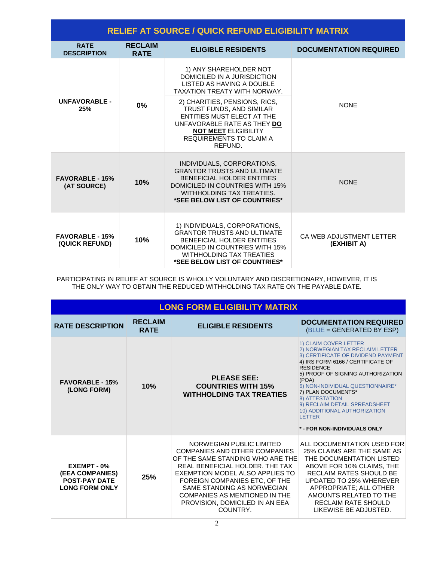| <b>RELIEF AT SOURCE / QUICK REFUND ELIGIBILITY MATRIX</b> |                               |                                                                                                                                                                                                           |                                         |  |
|-----------------------------------------------------------|-------------------------------|-----------------------------------------------------------------------------------------------------------------------------------------------------------------------------------------------------------|-----------------------------------------|--|
| <b>RATF</b><br><b>DESCRIPTION</b>                         | <b>RECLAIM</b><br><b>RATE</b> | <b>ELIGIBLE RESIDENTS</b>                                                                                                                                                                                 | <b>DOCUMENTATION REQUIRED</b>           |  |
|                                                           | $0\%$                         | 1) ANY SHAREHOLDER NOT<br>DOMICILED IN A JURISDICTION<br>LISTED AS HAVING A DOUBLE<br><b>TAXATION TREATY WITH NORWAY.</b>                                                                                 | <b>NONE</b>                             |  |
| <b>UNFAVORABLE -</b><br>25%                               |                               | 2) CHARITIES, PENSIONS, RICS,<br>TRUST FUNDS, AND SIMILAR<br><b>ENTITIES MUST ELECT AT THE</b><br>UNFAVORABLE RATE AS THEY DO<br><b>NOT MEET ELIGIBILITY</b><br><b>REQUIREMENTS TO CLAIM A</b><br>REFUND. |                                         |  |
| <b>FAVORABLE - 15%</b><br>(AT SOURCE)                     | 10%                           | INDIVIDUALS, CORPORATIONS,<br><b>GRANTOR TRUSTS AND ULTIMATE</b><br><b>BENEFICIAL HOLDER ENTITIES</b><br>DOMICILED IN COUNTRIES WITH 15%<br>WITHHOLDING TAX TREATIES.<br>*SEE BELOW LIST OF COUNTRIES*    | <b>NONE</b>                             |  |
| <b>FAVORABLE - 15%</b><br>(QUICK REFUND)                  | 10%                           | 1) INDIVIDUALS, CORPORATIONS,<br><b>GRANTOR TRUSTS AND ULTIMATE</b><br>BENEFICIAL HOLDER ENTITIES<br>DOMICILED IN COUNTRIES WITH 15%<br><b>WITHHOLDING TAX TREATIES</b><br>*SEE BELOW LIST OF COUNTRIES*  | CA WEB ADJUSTMENT LETTER<br>(EXHIBIT A) |  |

PARTICIPATING IN RELIEF AT SOURCE IS WHOLLY VOLUNTARY AND DISCRETIONARY, HOWEVER, IT IS THE ONLY WAY TO OBTAIN THE REDUCED WITHHOLDING TAX RATE ON THE PAYABLE DATE.

| <b>LONG FORM ELIGIBILITY MATRIX</b>                                             |                               |                                                                                                                                                                                                                                                                                                                          |                                                                                                                                                                                                                                                                                                                                                                                                      |
|---------------------------------------------------------------------------------|-------------------------------|--------------------------------------------------------------------------------------------------------------------------------------------------------------------------------------------------------------------------------------------------------------------------------------------------------------------------|------------------------------------------------------------------------------------------------------------------------------------------------------------------------------------------------------------------------------------------------------------------------------------------------------------------------------------------------------------------------------------------------------|
| <b>RATE DESCRIPTION</b>                                                         | <b>RECLAIM</b><br><b>RATE</b> | <b>ELIGIBLE RESIDENTS</b>                                                                                                                                                                                                                                                                                                | <b>DOCUMENTATION REQUIRED</b><br>(BLUE = GENERATED BY ESP)                                                                                                                                                                                                                                                                                                                                           |
| <b>FAVORABLE - 15%</b><br>(LONG FORM)                                           | 10%                           | <b>PLEASE SEE:</b><br><b>COUNTRIES WITH 15%</b><br><b>WITHHOLDING TAX TREATIES</b>                                                                                                                                                                                                                                       | 1) CLAIM COVER LETTER<br>2) NORWEGIAN TAX RECLAIM LETTER<br>3) CERTIFICATE OF DIVIDEND PAYMENT<br>4) IRS FORM 6166 / CERTIFICATE OF<br><b>RESIDENCE</b><br>5) PROOF OF SIGNING AUTHORIZATION<br>(POA)<br>6) NON-INDIVIDUAL QUESTIONNAIRE*<br>7) PLAN DOCUMENTS*<br>8) ATTESTATION<br>9) RECLAIM DETAIL SPREADSHEET<br>10) ADDITIONAL AUTHORIZATION<br><b>I FTTFR</b><br>* - FOR NON-INDIVIDUALS ONLY |
| EXEMPT - 0%<br>(EEA COMPANIES)<br><b>POST-PAY DATE</b><br><b>LONG FORM ONLY</b> | 25%                           | NORWEGIAN PUBLIC LIMITED<br><b>COMPANIES AND OTHER COMPANIES</b><br>OF THE SAME STANDING WHO ARE THE<br>REAL BENEFICIAL HOLDER. THE TAX<br>EXEMPTION MODEL ALSO APPLIES TO<br>FOREIGN COMPANIES ETC, OF THE<br>SAME STANDING AS NORWEGIAN<br>COMPANIES AS MENTIONED IN THE<br>PROVISION, DOMICILED IN AN EEA<br>COUNTRY. | ALL DOCUMENTATION USED FOR<br>25% CLAIMS ARE THE SAME AS<br>THE DOCUMENTATION LISTED<br>ABOVE FOR 10% CLAIMS, THE<br><b>RECLAIM RATES SHOULD BE</b><br>UPDATED TO 25% WHEREVER<br>APPROPRIATE: ALL OTHER<br>AMOUNTS RELATED TO THE<br><b>RECLAIM RATE SHOULD</b><br>LIKEWISE BE ADJUSTED.                                                                                                            |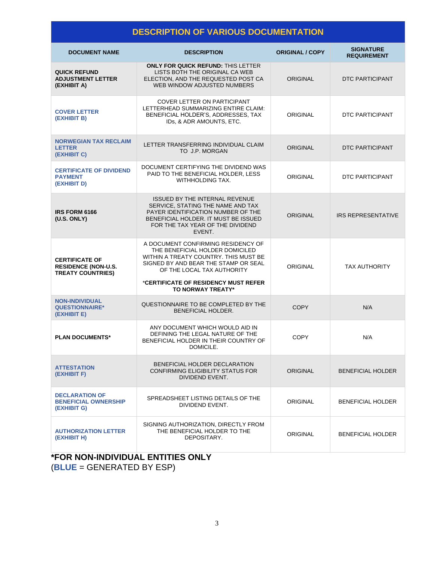# **DESCRIPTION OF VARIOUS DOCUMENTATION**

| <b>DOCUMENT NAME</b>                                                            | <b>DESCRIPTION</b>                                                                                                                                                                                                                                | <b>ORIGINAL / COPY</b> | <b>SIGNATURE</b><br><b>REQUIREMENT</b> |
|---------------------------------------------------------------------------------|---------------------------------------------------------------------------------------------------------------------------------------------------------------------------------------------------------------------------------------------------|------------------------|----------------------------------------|
| <b>QUICK REFUND</b><br><b>ADJUSTMENT LETTER</b><br>(EXHIBIT A)                  | <b>ONLY FOR QUICK REFUND: THIS LETTER</b><br>LISTS BOTH THE ORIGINAL CA WEB<br>ELECTION, AND THE REQUESTED POST CA<br>WEB WINDOW ADJUSTED NUMBERS                                                                                                 | <b>ORIGINAL</b>        | DTC PARTICIPANT                        |
| <b>COVER LETTER</b><br>(EXHIBIT B)                                              | <b>COVER LETTER ON PARTICIPANT</b><br>LETTERHEAD SUMMARIZING ENTIRE CLAIM:<br>BENEFICIAL HOLDER'S, ADDRESSES, TAX<br>IDs, & ADR AMOUNTS, ETC.                                                                                                     | <b>ORIGINAL</b>        | DTC PARTICIPANT                        |
| <b>NORWEGIAN TAX RECLAIM</b><br><b>LETTER</b><br>(EXHIBIT C)                    | LETTER TRANSFERRING INDIVIDUAL CLAIM<br>TO J.P. MORGAN                                                                                                                                                                                            | <b>ORIGINAL</b>        | DTC PARTICIPANT                        |
| <b>CERTIFICATE OF DIVIDEND</b><br><b>PAYMENT</b><br>(EXHIBIT D)                 | DOCUMENT CERTIFYING THE DIVIDEND WAS<br>PAID TO THE BENEFICIAL HOLDER, LESS<br>WITHHOLDING TAX.                                                                                                                                                   | <b>ORIGINAL</b>        | DTC PARTICIPANT                        |
| <b>IRS FORM 6166</b><br>(U.S. ONLY)                                             | ISSUED BY THE INTERNAL REVENUE<br>SERVICE, STATING THE NAME AND TAX<br>PAYER IDENTIFICATION NUMBER OF THE<br>BENEFICIAL HOLDER. IT MUST BE ISSUED<br>FOR THE TAX YEAR OF THE DIVIDEND<br>EVENT.                                                   | <b>ORIGINAL</b>        | <b>IRS REPRESENTATIVE</b>              |
| <b>CERTIFICATE OF</b><br><b>RESIDENCE (NON-U.S.</b><br><b>TREATY COUNTRIES)</b> | A DOCUMENT CONFIRMING RESIDENCY OF<br>THE BENEFICIAL HOLDER DOMICILED<br>WITHIN A TREATY COUNTRY, THIS MUST BE<br>SIGNED BY AND BEAR THE STAMP OR SEAL<br>OF THE LOCAL TAX AUTHORITY<br>*CERTIFICATE OF RESIDENCY MUST REFER<br>TO NORWAY TREATY* | <b>ORIGINAL</b>        | <b>TAX AUTHORITY</b>                   |
| <b>NON-INDIVIDUAL</b><br><b>QUESTIONNAIRE*</b><br>(EXHIBIT E)                   | QUESTIONNAIRE TO BE COMPLETED BY THE<br>BENEFICIAL HOLDER.                                                                                                                                                                                        | <b>COPY</b>            | N/A                                    |
| <b>PLAN DOCUMENTS*</b>                                                          | ANY DOCUMENT WHICH WOULD AID IN<br>DEFINING THE LEGAL NATURE OF THE<br>BENEFICIAL HOLDER IN THEIR COUNTRY OF<br>DOMICILE.                                                                                                                         | <b>COPY</b>            | N/A                                    |
| <b>ATTESTATION</b><br>(EXHIBIT F)                                               | BENEFICIAL HOLDER DECLARATION<br><b>CONFIRMING ELIGIBILITY STATUS FOR</b><br>DIVIDEND EVENT.                                                                                                                                                      | <b>ORIGINAL</b>        | <b>BENEFICIAL HOLDER</b>               |
| <b>DECLARATION OF</b><br><b>BENEFICIAL OWNERSHIP</b><br>(EXHIBIT G)             | SPREADSHEET LISTING DETAILS OF THE<br>DIVIDEND EVENT.                                                                                                                                                                                             | <b>ORIGINAL</b>        | <b>BENEFICIAL HOLDER</b>               |
| <b>AUTHORIZATION LETTER</b><br>(EXHIBIT H)                                      | SIGNING AUTHORIZATION, DIRECTLY FROM<br>THE BENEFICIAL HOLDER TO THE<br>DEPOSITARY.                                                                                                                                                               | ORIGINAL               | <b>BENEFICIAL HOLDER</b>               |

**\*FOR NON-INDIVIDUAL ENTITIES ONLY** (**BLUE** = GENERATED BY ESP)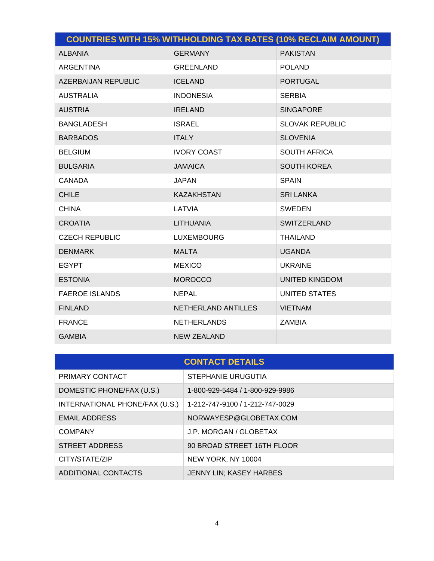|                            | <b>COUNTRIES WITH 15% WITHHOLDING TAX RATES (10% RECLAIM AMOUNT)</b> |                        |
|----------------------------|----------------------------------------------------------------------|------------------------|
| <b>ALBANIA</b>             | <b>GERMANY</b>                                                       | <b>PAKISTAN</b>        |
| <b>ARGENTINA</b>           | <b>GREENLAND</b>                                                     | <b>POLAND</b>          |
| <b>AZERBAIJAN REPUBLIC</b> | <b>ICELAND</b>                                                       | <b>PORTUGAL</b>        |
| <b>AUSTRALIA</b>           | <b>INDONESIA</b>                                                     | <b>SERBIA</b>          |
| <b>AUSTRIA</b>             | <b>IRELAND</b>                                                       | <b>SINGAPORE</b>       |
| <b>BANGLADESH</b>          | <b>ISRAEL</b>                                                        | <b>SLOVAK REPUBLIC</b> |
| <b>BARBADOS</b>            | <b>ITALY</b>                                                         | <b>SLOVENIA</b>        |
| <b>BELGIUM</b>             | <b>IVORY COAST</b>                                                   | <b>SOUTH AFRICA</b>    |
| <b>BULGARIA</b>            | <b>JAMAICA</b>                                                       | <b>SOUTH KOREA</b>     |
| <b>CANADA</b>              | <b>JAPAN</b>                                                         | <b>SPAIN</b>           |
| <b>CHILE</b>               | <b>KAZAKHSTAN</b>                                                    | <b>SRI LANKA</b>       |
| <b>CHINA</b>               | LATVIA                                                               | <b>SWEDEN</b>          |
| <b>CROATIA</b>             | <b>LITHUANIA</b>                                                     | <b>SWITZERLAND</b>     |
| <b>CZECH REPUBLIC</b>      | <b>LUXEMBOURG</b>                                                    | <b>THAILAND</b>        |
| <b>DENMARK</b>             | <b>MALTA</b>                                                         | <b>UGANDA</b>          |
| <b>EGYPT</b>               | <b>MEXICO</b>                                                        | <b>UKRAINE</b>         |
| <b>ESTONIA</b>             | <b>MOROCCO</b>                                                       | <b>UNITED KINGDOM</b>  |
| <b>FAEROE ISLANDS</b>      | <b>NEPAL</b>                                                         | <b>UNITED STATES</b>   |
| <b>FINLAND</b>             | NETHERLAND ANTILLES                                                  | <b>VIETNAM</b>         |
| <b>FRANCE</b>              | <b>NETHERLANDS</b>                                                   | <b>ZAMBIA</b>          |
| <b>GAMBIA</b>              | <b>NEW ZEALAND</b>                                                   |                        |

| <b>CONTACT DETAILS</b>         |                                 |  |  |
|--------------------------------|---------------------------------|--|--|
| PRIMARY CONTACT                | STEPHANIE URUGUTIA              |  |  |
| DOMESTIC PHONE/FAX (U.S.)      | 1-800-929-5484 / 1-800-929-9986 |  |  |
| INTERNATIONAL PHONE/FAX (U.S.) | 1-212-747-9100 / 1-212-747-0029 |  |  |
| <b>EMAIL ADDRESS</b>           | NORWAYESP@GLOBETAX.COM          |  |  |
| <b>COMPANY</b>                 | J.P. MORGAN / GLOBETAX          |  |  |
| STREET ADDRESS                 | 90 BROAD STREET 16TH FLOOR      |  |  |
| CITY/STATE/ZIP                 | NEW YORK, NY 10004              |  |  |
| ADDITIONAL CONTACTS            | JENNY LIN: KASEY HARBES         |  |  |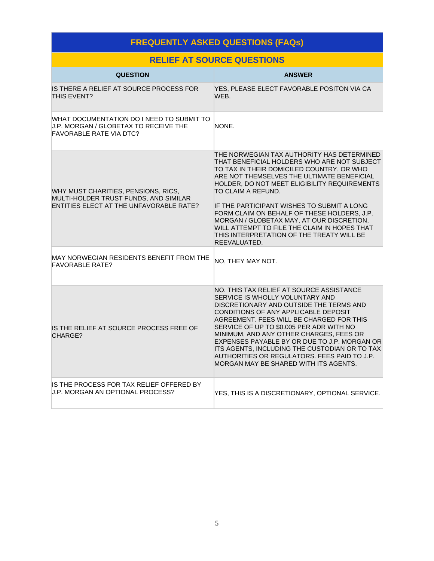# **FREQUENTLY ASKED QUESTIONS (FAQs) RELIEF AT SOURCE QUESTIONS**

| <u>KELIEF AT SUUKUE QUESTIUNS</u>                                                                                           |                                                                                                                                                                                                                                                                                                                                                                                                                                                                                                                   |  |  |
|-----------------------------------------------------------------------------------------------------------------------------|-------------------------------------------------------------------------------------------------------------------------------------------------------------------------------------------------------------------------------------------------------------------------------------------------------------------------------------------------------------------------------------------------------------------------------------------------------------------------------------------------------------------|--|--|
| <b>QUESTION</b>                                                                                                             | <b>ANSWER</b>                                                                                                                                                                                                                                                                                                                                                                                                                                                                                                     |  |  |
| IS THERE A RELIEF AT SOURCE PROCESS FOR<br>THIS EVENT?                                                                      | YES, PLEASE ELECT FAVORABLE POSITON VIA CA<br>WFB.                                                                                                                                                                                                                                                                                                                                                                                                                                                                |  |  |
| WHAT DOCUMENTATION DO I NEED TO SUBMIT TO<br><b>J.P. MORGAN / GLOBETAX TO RECEIVE THE</b><br><b>FAVORABLE RATE VIA DTC?</b> | NONE.                                                                                                                                                                                                                                                                                                                                                                                                                                                                                                             |  |  |
| WHY MUST CHARITIES, PENSIONS, RICS,<br>MULTI-HOLDER TRUST FUNDS, AND SIMILAR<br>ENTITIES ELECT AT THE UNFAVORABLE RATE?     | THE NORWEGIAN TAX AUTHORITY HAS DETERMINED<br>THAT BENEFICIAL HOLDERS WHO ARE NOT SUBJECT<br>TO TAX IN THEIR DOMICILED COUNTRY, OR WHO<br>ARE NOT THEMSELVES THE ULTIMATE BENEFICIAL<br>HOLDER, DO NOT MEET ELIGIBILITY REQUIREMENTS<br>TO CLAIM A REFUND.<br>IF THE PARTICIPANT WISHES TO SUBMIT A LONG<br>FORM CLAIM ON BEHALF OF THESE HOLDERS, J.P.<br>MORGAN / GLOBETAX MAY, AT OUR DISCRETION.<br>WILL ATTEMPT TO FILE THE CLAIM IN HOPES THAT<br>THIS INTERPRETATION OF THE TREATY WILL BE<br>REEVALUATED. |  |  |
| MAY NORWEGIAN RESIDENTS BENEFIT FROM THE<br><b>FAVORABLE RATE?</b>                                                          | NO, THEY MAY NOT.                                                                                                                                                                                                                                                                                                                                                                                                                                                                                                 |  |  |
| IS THE RELIEF AT SOURCE PROCESS FREE OF<br>CHARGE?                                                                          | NO. THIS TAX RELIEF AT SOURCE ASSISTANCE<br>SERVICE IS WHOLLY VOLUNTARY AND<br>DISCRETIONARY AND OUTSIDE THE TERMS AND<br>CONDITIONS OF ANY APPLICABLE DEPOSIT<br>AGREEMENT. FEES WILL BE CHARGED FOR THIS<br>SERVICE OF UP TO \$0.005 PER ADR WITH NO<br>MINIMUM, AND ANY OTHER CHARGES, FEES OR<br>EXPENSES PAYABLE BY OR DUE TO J.P. MORGAN OR<br>ITS AGENTS, INCLUDING THE CUSTODIAN OR TO TAX<br>AUTHORITIES OR REGULATORS. FEES PAID TO J.P.<br>MORGAN MAY BE SHARED WITH ITS AGENTS.                       |  |  |
| IS THE PROCESS FOR TAX RELIEF OFFERED BY<br>J.P. MORGAN AN OPTIONAL PROCESS?                                                | YES, THIS IS A DISCRETIONARY, OPTIONAL SERVICE.                                                                                                                                                                                                                                                                                                                                                                                                                                                                   |  |  |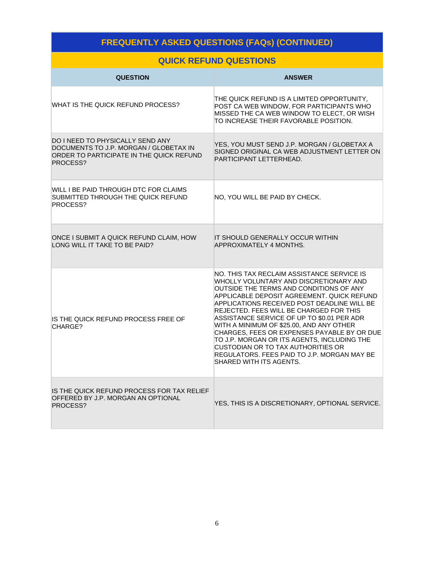# **FREQUENTLY ASKED QUESTIONS (FAQs) (CONTINUED)**

# **QUICK REFUND QUESTIONS**

| <b>QUESTION</b>                                                                                                                    | <b>ANSWER</b>                                                                                                                                                                                                                                                                                                                                                                                                                                                                                                                                                                          |
|------------------------------------------------------------------------------------------------------------------------------------|----------------------------------------------------------------------------------------------------------------------------------------------------------------------------------------------------------------------------------------------------------------------------------------------------------------------------------------------------------------------------------------------------------------------------------------------------------------------------------------------------------------------------------------------------------------------------------------|
| WHAT IS THE QUICK REFUND PROCESS?                                                                                                  | THE QUICK REFUND IS A LIMITED OPPORTUNITY,<br>POST CA WEB WINDOW, FOR PARTICIPANTS WHO<br>MISSED THE CA WEB WINDOW TO ELECT, OR WISH<br>TO INCREASE THEIR FAVORABLE POSITION.                                                                                                                                                                                                                                                                                                                                                                                                          |
| DO I NEED TO PHYSICALLY SEND ANY<br>DOCUMENTS TO J.P. MORGAN / GLOBETAX IN<br>ORDER TO PARTICIPATE IN THE QUICK REFUND<br>PROCESS? | YES, YOU MUST SEND J.P. MORGAN / GLOBETAX A<br>SIGNED ORIGINAL CA WEB ADJUSTMENT LETTER ON<br>PARTICIPANT LETTERHEAD.                                                                                                                                                                                                                                                                                                                                                                                                                                                                  |
| WILL I BE PAID THROUGH DTC FOR CLAIMS<br>SUBMITTED THROUGH THE QUICK REFUND<br>PROCESS?                                            | NO, YOU WILL BE PAID BY CHECK.                                                                                                                                                                                                                                                                                                                                                                                                                                                                                                                                                         |
| ONCE I SUBMIT A QUICK REFUND CLAIM, HOW<br>LONG WILL IT TAKE TO BE PAID?                                                           | IT SHOULD GENERALLY OCCUR WITHIN<br>APPROXIMATELY 4 MONTHS.                                                                                                                                                                                                                                                                                                                                                                                                                                                                                                                            |
| IS THE QUICK REFUND PROCESS FREE OF<br>CHARGE?                                                                                     | NO. THIS TAX RECLAIM ASSISTANCE SERVICE IS<br>WHOLLY VOLUNTARY AND DISCRETIONARY AND<br>OUTSIDE THE TERMS AND CONDITIONS OF ANY<br>APPLICABLE DEPOSIT AGREEMENT. QUICK REFUND<br>APPLICATIONS RECEIVED POST DEADLINE WILL BE<br>REJECTED. FEES WILL BE CHARGED FOR THIS<br>ASSISTANCE SERVICE OF UP TO \$0.01 PER ADR<br>WITH A MINIMUM OF \$25.00, AND ANY OTHER<br>CHARGES, FEES OR EXPENSES PAYABLE BY OR DUE<br>TO J.P. MORGAN OR ITS AGENTS, INCLUDING THE<br><b>CUSTODIAN OR TO TAX AUTHORITIES OR</b><br>REGULATORS. FEES PAID TO J.P. MORGAN MAY BE<br>SHARED WITH ITS AGENTS. |
| IS THE QUICK REFUND PROCESS FOR TAX RELIEF<br>OFFERED BY J.P. MORGAN AN OPTIONAL<br>PROCESS?                                       | YES, THIS IS A DISCRETIONARY, OPTIONAL SERVICE.                                                                                                                                                                                                                                                                                                                                                                                                                                                                                                                                        |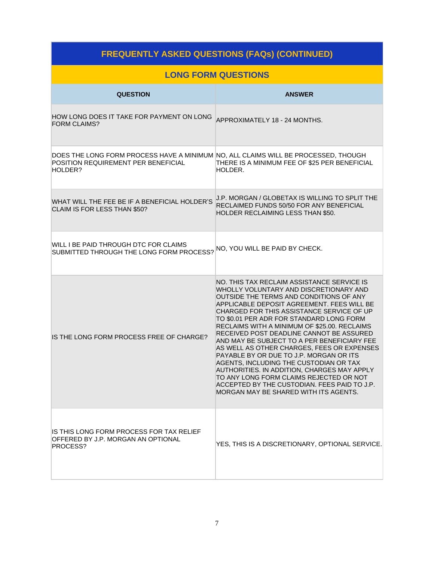# **FREQUENTLY ASKED QUESTIONS (FAQs) (CONTINUED)**

### **LONG FORM QUESTIONS**

| <b>QUESTION</b>                                                                                                                      | <b>ANSWER</b>                                                                                                                                                                                                                                                                                                                                                                                                                                                                                                                                                                                                                                                                                                                           |
|--------------------------------------------------------------------------------------------------------------------------------------|-----------------------------------------------------------------------------------------------------------------------------------------------------------------------------------------------------------------------------------------------------------------------------------------------------------------------------------------------------------------------------------------------------------------------------------------------------------------------------------------------------------------------------------------------------------------------------------------------------------------------------------------------------------------------------------------------------------------------------------------|
| HOW LONG DOES IT TAKE FOR PAYMENT ON LONG<br><b>FORM CLAIMS?</b>                                                                     | APPROXIMATELY 18 - 24 MONTHS.                                                                                                                                                                                                                                                                                                                                                                                                                                                                                                                                                                                                                                                                                                           |
| DOES THE LONG FORM PROCESS HAVE A MINIMUM NO, ALL CLAIMS WILL BE PROCESSED, THOUGH<br>POSITION REQUIREMENT PER BENEFICIAL<br>HOLDER? | THERE IS A MINIMUM FEE OF \$25 PER BENEFICIAL<br>HOLDER.                                                                                                                                                                                                                                                                                                                                                                                                                                                                                                                                                                                                                                                                                |
| WHAT WILL THE FEE BE IF A BENEFICIAL HOLDER'S<br>CLAIM IS FOR LESS THAN \$50?                                                        | J.P. MORGAN / GLOBETAX IS WILLING TO SPLIT THE<br>RECLAIMED FUNDS 50/50 FOR ANY BENEFICIAL<br>HOLDER RECLAIMING LESS THAN \$50.                                                                                                                                                                                                                                                                                                                                                                                                                                                                                                                                                                                                         |
| WILL I BE PAID THROUGH DTC FOR CLAIMS<br>SUBMITTED THROUGH THE LONG FORM PROCESS?                                                    | NO, YOU WILL BE PAID BY CHECK.                                                                                                                                                                                                                                                                                                                                                                                                                                                                                                                                                                                                                                                                                                          |
| IS THE LONG FORM PROCESS FREE OF CHARGE?                                                                                             | NO. THIS TAX RECLAIM ASSISTANCE SERVICE IS<br>WHOLLY VOLUNTARY AND DISCRETIONARY AND<br>OUTSIDE THE TERMS AND CONDITIONS OF ANY<br>APPLICABLE DEPOSIT AGREEMENT. FEES WILL BE<br>CHARGED FOR THIS ASSISTANCE SERVICE OF UP<br>TO \$0.01 PER ADR FOR STANDARD LONG FORM<br>RECLAIMS WITH A MINIMUM OF \$25.00. RECLAIMS<br>RECEIVED POST DEADLINE CANNOT BE ASSURED<br>AND MAY BE SUBJECT TO A PER BENEFICIARY FEE<br>AS WELL AS OTHER CHARGES, FEES OR EXPENSES<br>PAYABLE BY OR DUE TO J.P. MORGAN OR ITS<br>AGENTS, INCLUDING THE CUSTODIAN OR TAX<br>AUTHORITIES. IN ADDITION, CHARGES MAY APPLY<br>TO ANY LONG FORM CLAIMS REJECTED OR NOT<br>ACCEPTED BY THE CUSTODIAN. FEES PAID TO J.P.<br>MORGAN MAY BE SHARED WITH ITS AGENTS. |
| IS THIS LONG FORM PROCESS FOR TAX RELIEF<br>OFFERED BY J.P. MORGAN AN OPTIONAL<br>PROCESS?                                           | YES, THIS IS A DISCRETIONARY, OPTIONAL SERVICE.                                                                                                                                                                                                                                                                                                                                                                                                                                                                                                                                                                                                                                                                                         |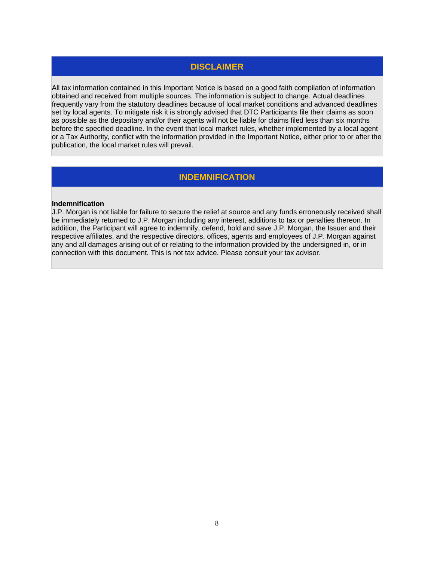### **DISCLAIMER**

All tax information contained in this Important Notice is based on a good faith compilation of information obtained and received from multiple sources. The information is subject to change. Actual deadlines frequently vary from the statutory deadlines because of local market conditions and advanced deadlines set by local agents. To mitigate risk it is strongly advised that DTC Participants file their claims as soon as possible as the depositary and/or their agents will not be liable for claims filed less than six months before the specified deadline. In the event that local market rules, whether implemented by a local agent or a Tax Authority, conflict with the information provided in the Important Notice, either prior to or after the publication, the local market rules will prevail.

## **INDEMNIFICATION**

### **Indemnification**

J.P. Morgan is not liable for failure to secure the relief at source and any funds erroneously received shall be immediately returned to J.P. Morgan including any interest, additions to tax or penalties thereon. In addition, the Participant will agree to indemnify, defend, hold and save J.P. Morgan, the Issuer and their respective affiliates, and the respective directors, offices, agents and employees of J.P. Morgan against any and all damages arising out of or relating to the information provided by the undersigned in, or in connection with this document. This is not tax advice. Please consult your tax advisor.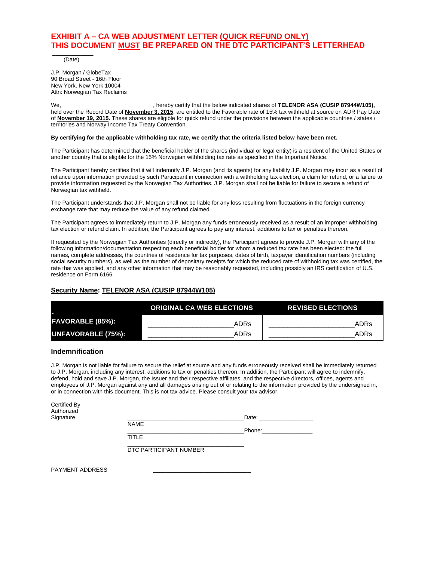### **EXHIBIT A – CA WEB ADJUSTMENT LETTER (QUICK REFUND ONLY) THIS DOCUMENT MUST BE PREPARED ON THE DTC PARTICIPANT'S LETTERHEAD**

 $\overline{\phantom{a}}$ (Date)

J.P. Morgan / GlobeTax 90 Broad Street - 16th Floor New York, New York 10004 Attn: Norwegian Tax Reclaims

We, **Mushed COVID-2014 COVID-2014**, hereby certify that the below indicated shares of **TELENOR ASA (CUSIP 87944W105)**, held over the Record Date of **November 3, 2015**, are entitled to the Favorable rate of 15% tax withheld at source on ADR Pay Date of **November 19, 2015.** These shares are eligible for quick refund under the provisions between the applicable countries / states / territories and Norway Income Tax Treaty Convention.

### **By certifying for the applicable withholding tax rate, we certify that the criteria listed below have been met.**

The Participant has determined that the beneficial holder of the shares (individual or legal entity) is a resident of the United States or another country that is eligible for the 15% Norwegian withholding tax rate as specified in the Important Notice.

The Participant hereby certifies that it will indemnify J.P. Morgan (and its agents) for any liability J.P. Morgan may incur as a result of reliance upon information provided by such Participant in connection with a withholding tax election, a claim for refund, or a failure to provide information requested by the Norwegian Tax Authorities. J.P. Morgan shall not be liable for failure to secure a refund of Norwegian tax withheld.

The Participant understands that J.P. Morgan shall not be liable for any loss resulting from fluctuations in the foreign currency exchange rate that may reduce the value of any refund claimed.

The Participant agrees to immediately return to J.P. Morgan any funds erroneously received as a result of an improper withholding tax election or refund claim. In addition, the Participant agrees to pay any interest, additions to tax or penalties thereon.

If requested by the Norwegian Tax Authorities (directly or indirectly), the Participant agrees to provide J.P. Morgan with any of the following information/documentation respecting each beneficial holder for whom a reduced tax rate has been elected: the full names*,* complete addresses, the countries of residence for tax purposes, dates of birth, taxpayer identification numbers (including social security numbers), as well as the number of depositary receipts for which the reduced rate of withholding tax was certified, the rate that was applied, and any other information that may be reasonably requested, including possibly an IRS certification of U.S. residence on Form 6166.

### **Security Name: TELENOR ASA (CUSIP 87944W105)**

|                           | <b>ORIGINAL CA WEB ELECTIONS</b> | <b>REVISED ELECTIONS</b> |
|---------------------------|----------------------------------|--------------------------|
| <b>FAVORABLE (85%):</b>   | ADRs                             | ADRs                     |
| <b>UNFAVORABLE (75%):</b> | ADRs                             | ADRs                     |

### **Indemnification**

J.P. Morgan is not liable for failure to secure the relief at source and any funds erroneously received shall be immediately returned to J.P. Morgan, including any interest, additions to tax or penalties thereon. In addition, the Participant will agree to indemnify, defend, hold and save J.P. Morgan, the Issuer and their respective affiliates, and the respective directors, offices, agents and employees of J.P. Morgan against any and all damages arising out of or relating to the information provided by the undersigned in, or in connection with this document. This is not tax advice. Please consult your tax advisor.

| Certified By<br>Authorized |                        |        |  |
|----------------------------|------------------------|--------|--|
| Signature                  |                        | Date:  |  |
|                            | <b>NAME</b>            |        |  |
|                            |                        | Phone: |  |
|                            | <b>TITLE</b>           |        |  |
|                            | DTC PARTICIPANT NUMBER |        |  |
| PAYMENT ADDRESS            |                        |        |  |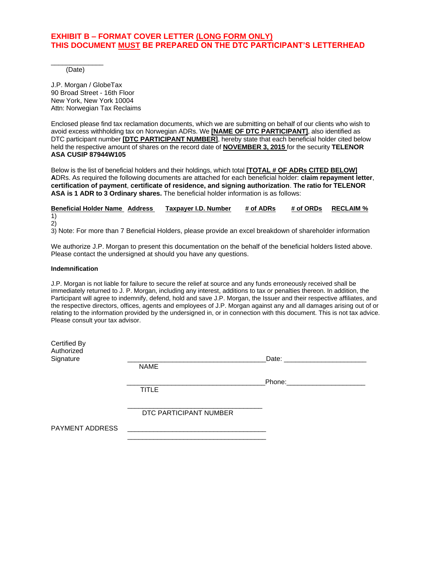### **EXHIBIT B – FORMAT COVER LETTER (LONG FORM ONLY) THIS DOCUMENT MUST BE PREPARED ON THE DTC PARTICIPANT'S LETTERHEAD**

\_\_\_\_\_\_\_\_\_\_\_\_\_\_ (Date)

J.P. Morgan / GlobeTax 90 Broad Street - 16th Floor New York, New York 10004 Attn: Norwegian Tax Reclaims

Enclosed please find tax reclamation documents, which we are submitting on behalf of our clients who wish to avoid excess withholding tax on Norwegian ADRs. We **[NAME OF DTC PARTICIPANT]**, also identified as DTC participant number **[DTC PARTICIPANT NUMBER]**, hereby state that each beneficial holder cited below held the respective amount of shares on the record date of **NOVEMBER 3, 2015** for the security **TELENOR ASA CUSIP 87944W105**

Below is the list of beneficial holders and their holdings, which total **[TOTAL # OF ADRs CITED BELOW] A**DRs. As required the following documents are attached for each beneficial holder: **claim repayment letter**, **certification of payment**, **certificate of residence, and signing authorization**. **The ratio for TELENOR ASA is 1 ADR to 3 Ordinary shares.** The beneficial holder information is as follows:

**Beneficial Holder Name Address Taxpayer I.D. Number # of ADRs # of ORDs RECLAIM %** 1) 2)

3) Note: For more than 7 Beneficial Holders, please provide an excel breakdown of shareholder information

We authorize J.P. Morgan to present this documentation on the behalf of the beneficial holders listed above. Please contact the undersigned at should you have any questions.

### **Indemnification**

J.P. Morgan is not liable for failure to secure the relief at source and any funds erroneously received shall be immediately returned to J. P. Morgan, including any interest, additions to tax or penalties thereon. In addition, the Participant will agree to indemnify, defend, hold and save J.P. Morgan, the Issuer and their respective affiliates, and the respective directors, offices, agents and employees of J.P. Morgan against any and all damages arising out of or relating to the information provided by the undersigned in, or in connection with this document. This is not tax advice. Please consult your tax advisor.

| Certified By<br>Authorized |                        |                                                                                                                                                                                                                                    |  |
|----------------------------|------------------------|------------------------------------------------------------------------------------------------------------------------------------------------------------------------------------------------------------------------------------|--|
| Signature                  |                        | Date: <b>Date: Contract Contract Contract Contract Contract Contract Contract Contract Contract Contract Contract Contract Contract Contract Contract Contract Contract Contract Contract Contract Contract Contract Contract </b> |  |
|                            | <b>NAME</b>            |                                                                                                                                                                                                                                    |  |
|                            |                        | Phone: the contract of the contract of the contract of the contract of the contract of the contract of the contract of the contract of the contract of the contract of the contract of the contract of the contract of the con     |  |
|                            | <b>TITLE</b>           |                                                                                                                                                                                                                                    |  |
|                            |                        |                                                                                                                                                                                                                                    |  |
|                            | DTC PARTICIPANT NUMBER |                                                                                                                                                                                                                                    |  |
| PAYMENT ADDRESS            |                        |                                                                                                                                                                                                                                    |  |
|                            |                        |                                                                                                                                                                                                                                    |  |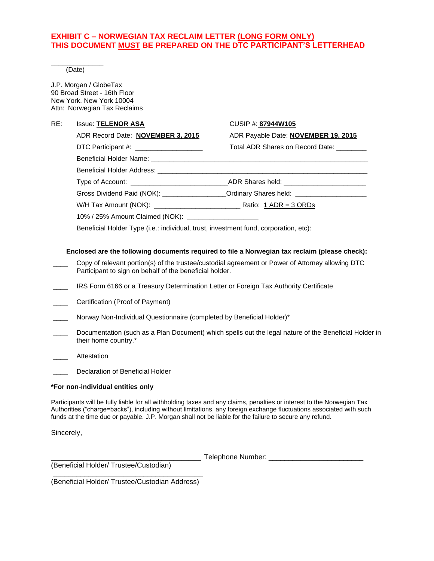### **EXHIBIT C – NORWEGIAN TAX RECLAIM LETTER (LONG FORM ONLY) THIS DOCUMENT MUST BE PREPARED ON THE DTC PARTICIPANT'S LETTERHEAD**

\_\_\_\_\_\_\_\_\_\_\_\_\_\_ (Date)

J.P. Morgan / GlobeTax 90 Broad Street - 16th Floor New York, New York 10004 Attn: Norwegian Tax Reclaims

### RE: Issue: **TELENOR ASA** CUSIP #: **87944W105**

ADR Record Date: **NOVEMBER 3, 2015** ADR Payable Date: **NOVEMBER 19, 2015** DTC Participant #:  $\blacksquare$  Total ADR Shares on Record Date:

| Type of Account: ____________________________      | _ADR Shares held: ________________________                                       |  |
|----------------------------------------------------|----------------------------------------------------------------------------------|--|
|                                                    | Gross Dividend Paid (NOK): _________________Ordinary Shares held: ______________ |  |
| W/H Tax Amount (NOK): ____________________________ | Ratio: $1$ ADR = $3$ ORDs                                                        |  |
|                                                    |                                                                                  |  |

10% / 25% Amount Claimed (NOK): \_\_\_\_\_\_\_\_\_\_\_\_\_\_\_\_\_\_\_

Beneficial Holder Type (i.e.: individual, trust, investment fund, corporation, etc):

### **Enclosed are the following documents required to file a Norwegian tax reclaim (please check):**

- Copy of relevant portion(s) of the trustee/custodial agreement or Power of Attorney allowing DTC Participant to sign on behalf of the beneficial holder.
- \_\_\_\_ IRS Form 6166 or a Treasury Determination Letter or Foreign Tax Authority Certificate
- \_\_\_\_ Certification (Proof of Payment)
- Norway Non-Individual Questionnaire (completed by Beneficial Holder)\*
- Documentation (such as a Plan Document) which spells out the legal nature of the Beneficial Holder in their home country.\*
- \_\_\_\_ Attestation

Declaration of Beneficial Holder

### **\*For non-individual entities only**

Participants will be fully liable for all withholding taxes and any claims, penalties or interest to the Norwegian Tax Authorities ("charge=backs"), including without limitations, any foreign exchange fluctuations associated with such funds at the time due or payable. J.P. Morgan shall not be liable for the failure to secure any refund.

Sincerely,

Telephone Number:

(Beneficial Holder/ Trustee/Custodian)

\_\_\_\_\_\_\_\_\_\_\_\_\_\_\_\_\_\_\_\_\_\_\_\_\_\_\_\_\_\_\_\_\_\_\_\_\_\_ (Beneficial Holder/ Trustee/Custodian Address)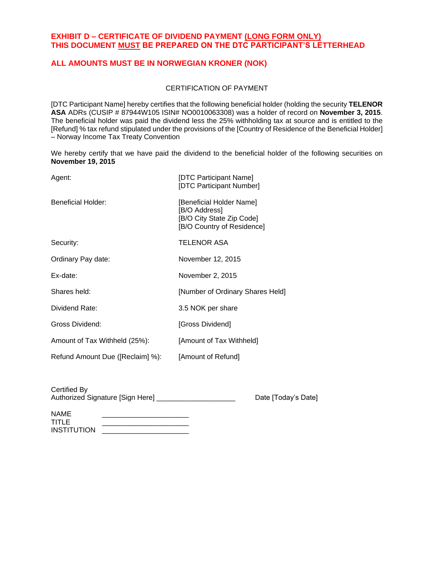### **EXHIBIT D – CERTIFICATE OF DIVIDEND PAYMENT (LONG FORM ONLY) THIS DOCUMENT MUST BE PREPARED ON THE DTC PARTICIPANT'S LETTERHEAD**

### **ALL AMOUNTS MUST BE IN NORWEGIAN KRONER (NOK)**

### CERTIFICATION OF PAYMENT

[DTC Participant Name] hereby certifies that the following beneficial holder (holding the security **TELENOR ASA** ADRs (CUSIP # 87944W105 ISIN# NO0010063308) was a holder of record on **November 3, 2015**. The beneficial holder was paid the dividend less the 25% withholding tax at source and is entitled to the [Refund] % tax refund stipulated under the provisions of the [Country of Residence of the Beneficial Holder] – Norway Income Tax Treaty Convention

We hereby certify that we have paid the dividend to the beneficial holder of the following securities on **November 19, 2015**

| Agent:                           | [DTC Participant Name]<br>[DTC Participant Number]                                                   |
|----------------------------------|------------------------------------------------------------------------------------------------------|
| Beneficial Holder:               | [Beneficial Holder Name]<br>[B/O Address]<br>[B/O City State Zip Code]<br>[B/O Country of Residence] |
| Security:                        | <b>TELENOR ASA</b>                                                                                   |
| Ordinary Pay date:               | November 12, 2015                                                                                    |
| Ex-date:                         | November 2, 2015                                                                                     |
| Shares held:                     | [Number of Ordinary Shares Held]                                                                     |
| Dividend Rate:                   | 3.5 NOK per share                                                                                    |
| Gross Dividend:                  | [Gross Dividend]                                                                                     |
| Amount of Tax Withheld (25%):    | [Amount of Tax Withheld]                                                                             |
| Refund Amount Due ([Reclaim] %): | [Amount of Refund]                                                                                   |

| Certified By                     |                     |
|----------------------------------|---------------------|
| Authorized Signature [Sign Here] | Date [Today's Date] |
|                                  |                     |

| <b>NAME</b>        |  |
|--------------------|--|
| TITI F             |  |
| <b>INSTITUTION</b> |  |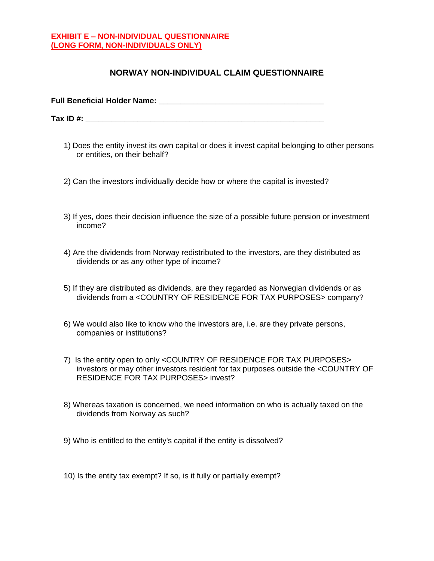### **EXHIBIT E – NON-INDIVIDUAL QUESTIONNAIRE (LONG FORM, NON-INDIVIDUALS ONLY)**

### **NORWAY NON-INDIVIDUAL CLAIM QUESTIONNAIRE**

| <b>Full Beneficial Holder Name:</b> |  |
|-------------------------------------|--|
|                                     |  |
| Tax ID $#$ :                        |  |

- 1) Does the entity invest its own capital or does it invest capital belonging to other persons or entities, on their behalf?
- 2) Can the investors individually decide how or where the capital is invested?
- 3) If yes, does their decision influence the size of a possible future pension or investment income?
- 4) Are the dividends from Norway redistributed to the investors, are they distributed as dividends or as any other type of income?
- 5) If they are distributed as dividends, are they regarded as Norwegian dividends or as dividends from a <COUNTRY OF RESIDENCE FOR TAX PURPOSES> company?
- 6) We would also like to know who the investors are, i.e. are they private persons, companies or institutions?
- 7) Is the entity open to only <COUNTRY OF RESIDENCE FOR TAX PURPOSES> investors or may other investors resident for tax purposes outside the <COUNTRY OF RESIDENCE FOR TAX PURPOSES> invest?
- 8) Whereas taxation is concerned, we need information on who is actually taxed on the dividends from Norway as such?
- 9) Who is entitled to the entity's capital if the entity is dissolved?
- 10) Is the entity tax exempt? If so, is it fully or partially exempt?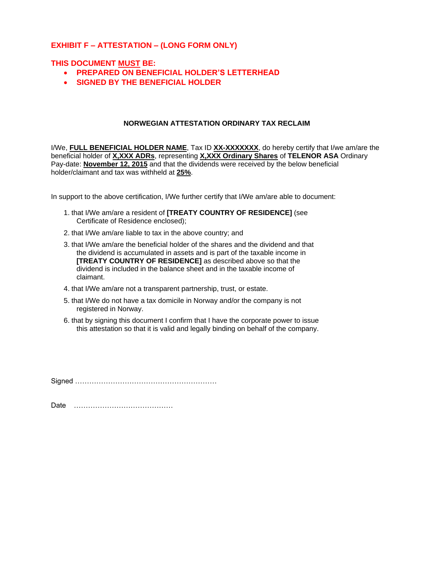### **EXHIBIT F – ATTESTATION – (LONG FORM ONLY)**

### **THIS DOCUMENT MUST BE:**

- **PREPARED ON BENEFICIAL HOLDER'S LETTERHEAD**
- **SIGNED BY THE BENEFICIAL HOLDER**

### **NORWEGIAN ATTESTATION ORDINARY TAX RECLAIM**

I/We, **FULL BENEFICIAL HOLDER NAME**, Tax ID **XX-XXXXXXX**, do hereby certify that I/we am/are the beneficial holder of **X,XXX ADRs**, representing **X,XXX Ordinary Shares** of **TELENOR ASA** Ordinary Pay-date: **November 12, 2015** and that the dividends were received by the below beneficial holder/claimant and tax was withheld at **25%**.

In support to the above certification, I/We further certify that I/We am/are able to document:

- 1. that I/We am/are a resident of **[TREATY COUNTRY OF RESIDENCE]** (see Certificate of Residence enclosed);
- 2. that I/We am/are liable to tax in the above country; and
- 3. that I/We am/are the beneficial holder of the shares and the dividend and that the dividend is accumulated in assets and is part of the taxable income in **[TREATY COUNTRY OF RESIDENCE]** as described above so that the dividend is included in the balance sheet and in the taxable income of claimant.
- 4. that I/We am/are not a transparent partnership, trust, or estate.
- 5. that I/We do not have a tax domicile in Norway and/or the company is not registered in Norway.
- 6. that by signing this document I confirm that I have the corporate power to issue this attestation so that it is valid and legally binding on behalf of the company.

Signed ……………………………………………………

Date ……………………………………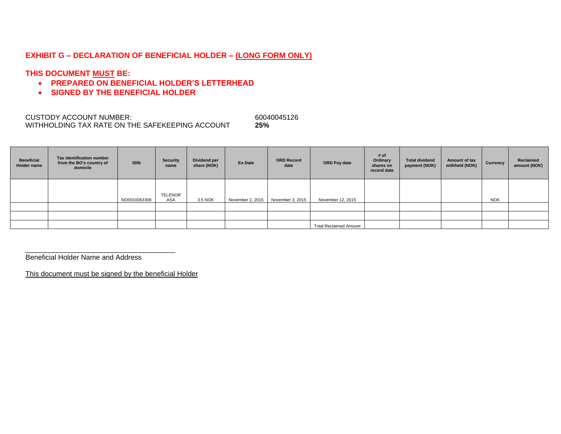### **EXHIBIT G – DECLARATION OF BENEFICIAL HOLDER – (LONG FORM ONLY)**

### **THIS DOCUMENT MUST BE:**

- **PREPARED ON BENEFICIAL HOLDER'S LETTERHEAD**
- **SIGNED BY THE BENEFICIAL HOLDER**

CUSTODY ACCOUNT NUMBER: 60040045126 WITHHOLDING TAX RATE ON THE SAFEKEEPING ACCOUNT **25%**

| <b>Beneficial</b><br><b>Holder name</b> | Tax identification number<br>from the BO's country of<br>domicile | <b>ISIN</b>  | Security<br>name      | Dividend per<br>share (NOK) | Ex-Date          | <b>ORD Record</b><br>date | ORD Pay date                  | # of<br>Ordinary<br>shares on<br>record date | <b>Total dividend</b><br>payment (NOK) | <b>Amount of tax</b><br>withheld (NOK) | Currency   | Reclaimed<br>amount (NOK) |
|-----------------------------------------|-------------------------------------------------------------------|--------------|-----------------------|-----------------------------|------------------|---------------------------|-------------------------------|----------------------------------------------|----------------------------------------|----------------------------------------|------------|---------------------------|
|                                         |                                                                   | NO0010063308 | TELENOR<br><b>ASA</b> | 3.5 NOK                     | November 2, 2015 | November 3, 2015          | November 12, 2015             |                                              |                                        |                                        | <b>NOK</b> |                           |
|                                         |                                                                   |              |                       |                             |                  |                           |                               |                                              |                                        |                                        |            |                           |
|                                         |                                                                   |              |                       |                             |                  |                           |                               |                                              |                                        |                                        |            |                           |
|                                         |                                                                   |              |                       |                             |                  |                           | <b>Total Reclaimed Amount</b> |                                              |                                        |                                        |            |                           |

Beneficial Holder Name and Address

This document must be signed by the beneficial Holder

\_\_\_\_\_\_\_\_\_\_\_\_\_\_\_\_\_\_\_\_\_\_\_\_\_\_\_\_\_\_\_\_\_\_\_\_\_\_